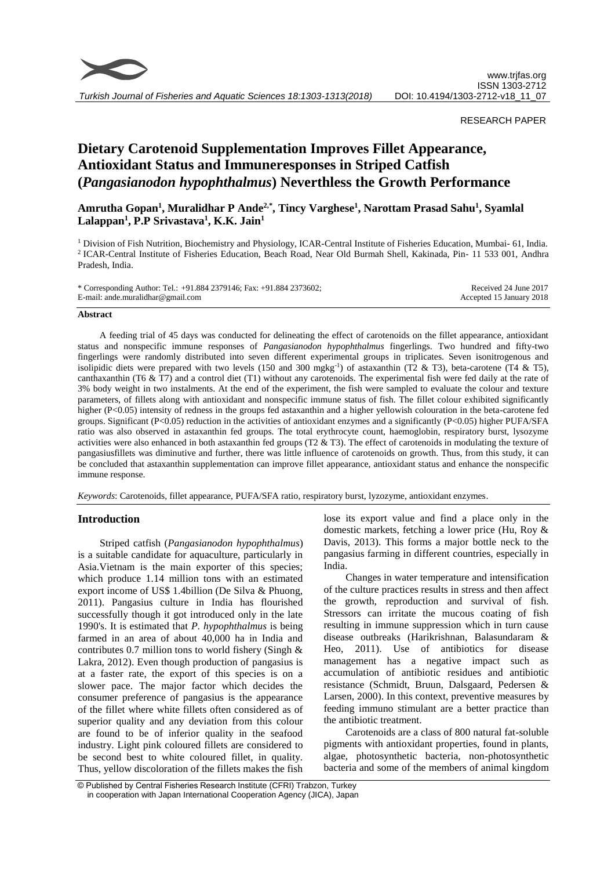

## RESEARCH PAPER

# **Dietary Carotenoid Supplementation Improves Fillet Appearance, Antioxidant Status and Immuneresponses in Striped Catfish (***Pangasianodon hypophthalmus***) Neverthless the Growth Performance**

# **Amrutha Gopan<sup>1</sup> , Muralidhar P Ande2,\*, Tincy Varghese<sup>1</sup> , Narottam Prasad Sahu<sup>1</sup> , Syamlal Lalappan<sup>1</sup> , P.P Srivastava<sup>1</sup> , K.K. Jain<sup>1</sup>**

<sup>1</sup> Division of Fish Nutrition, Biochemistry and Physiology, ICAR-Central Institute of Fisheries Education, Mumbai- 61, India. 2 ICAR-Central Institute of Fisheries Education, Beach Road, Near Old Burmah Shell, Kakinada, Pin- 11 533 001, Andhra Pradesh, India.

| * Corresponding Author: Tel.: +91.884 2379146; Fax: +91.884 2373602; | Received 24 June 2017    |
|----------------------------------------------------------------------|--------------------------|
| E-mail: and e.muralidhar @gmail.com                                  | Accepted 15 January 2018 |

#### **Abstract**

A feeding trial of 45 days was conducted for delineating the effect of carotenoids on the fillet appearance, antioxidant status and nonspecific immune responses of *Pangasianodon hypophthalmus* fingerlings. Two hundred and fifty-two fingerlings were randomly distributed into seven different experimental groups in triplicates. Seven isonitrogenous and isolipidic diets were prepared with two levels (150 and 300 mgkg<sup>-1</sup>) of astaxanthin (T2 & T3), beta-carotene (T4 & T5), canthaxanthin (T6 & T7) and a control diet (T1) without any carotenoids. The experimental fish were fed daily at the rate of 3% body weight in two instalments. At the end of the experiment, the fish were sampled to evaluate the colour and texture parameters, of fillets along with antioxidant and nonspecific immune status of fish. The fillet colour exhibited significantly higher (P<0.05) intensity of redness in the groups fed astaxanthin and a higher yellowish colouration in the beta-carotene fed groups. Significant (P<0.05) reduction in the activities of antioxidant enzymes and a significantly (P<0.05) higher PUFA/SFA ratio was also observed in astaxanthin fed groups. The total erythrocyte count, haemoglobin, respiratory burst, lysozyme activities were also enhanced in both astaxanthin fed groups (T2  $\&$  T3). The effect of carotenoids in modulating the texture of pangasiusfillets was diminutive and further, there was little influence of carotenoids on growth. Thus, from this study, it can be concluded that astaxanthin supplementation can improve fillet appearance, antioxidant status and enhance the nonspecific immune response.

*Keywords*: Carotenoids, fillet appearance, PUFA/SFA ratio, respiratory burst, lyzozyme, antioxidant enzymes.

# **Introduction**

Striped catfish (*Pangasianodon hypophthalmus*) is a suitable candidate for aquaculture, particularly in Asia.Vietnam is the main exporter of this species; which produce 1.14 million tons with an estimated export income of US\$ 1.4billion (De Silva & Phuong, 2011). Pangasius culture in India has flourished successfully though it got introduced only in the late 1990's. It is estimated that *P. hypophthalmus* is being farmed in an area of about 40,000 ha in India and contributes 0.7 million tons to world fishery (Singh  $\&$ Lakra, 2012). Even though production of pangasius is at a faster rate, the export of this species is on a slower pace. The major factor which decides the consumer preference of pangasius is the appearance of the fillet where white fillets often considered as of superior quality and any deviation from this colour are found to be of inferior quality in the seafood industry. Light pink coloured fillets are considered to be second best to white coloured fillet, in quality. Thus, yellow discoloration of the fillets makes the fish lose its export value and find a place only in the domestic markets, fetching a lower price (Hu, Roy & Davis, 2013). This forms a major bottle neck to the pangasius farming in different countries, especially in India.

Changes in water temperature and intensification of the culture practices results in stress and then affect the growth, reproduction and survival of fish. Stressors can irritate the mucous coating of fish resulting in immune suppression which in turn cause disease outbreaks (Harikrishnan, Balasundaram & Heo, 2011). Use of antibiotics for disease management has a negative impact such as accumulation of antibiotic residues and antibiotic resistance (Schmidt, Bruun, Dalsgaard, Pedersen & Larsen, 2000). In this context, preventive measures by feeding immuno stimulant are a better practice than the antibiotic treatment.

Carotenoids are a class of 800 natural fat-soluble pigments with antioxidant properties, found in plants, algae, photosynthetic bacteria, non-photosynthetic bacteria and some of the members of animal kingdom

<sup>©</sup> Published by Central Fisheries Research Institute (CFRI) Trabzon, Turkey in cooperation with Japan International Cooperation Agency (JICA), Japan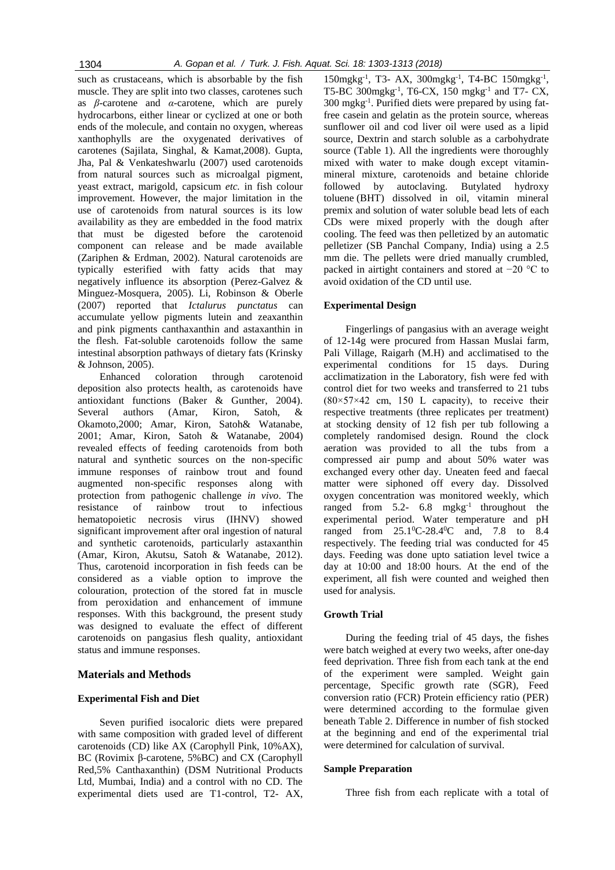such as crustaceans, which is absorbable by the fish muscle. They are split into two classes, carotenes such as *β*-carotene and *α*-carotene, which are purely hydrocarbons, either linear or cyclized at one or both ends of the molecule, and contain no oxygen, whereas xanthophylls are the oxygenated derivatives of carotenes (Sajilata, Singhal, & Kamat,2008). Gupta, Jha, Pal & Venkateshwarlu (2007) used carotenoids from natural sources such as microalgal pigment, yeast extract, marigold, capsicum *etc.* in fish colour improvement. However, the major limitation in the use of carotenoids from natural sources is its low availability as they are embedded in the food matrix that must be digested before the carotenoid component can release and be made available (Zariphen & Erdman, 2002). Natural carotenoids are typically esterified with fatty acids that may negatively influence its absorption (Perez-Galvez & Minguez-Mosquera, 2005). Li, Robinson & Oberle (2007) reported that *Ictalurus punctatus* can accumulate yellow pigments lutein and zeaxanthin and pink pigments canthaxanthin and astaxanthin in the flesh. Fat-soluble carotenoids follow the same intestinal absorption pathways of dietary fats (Krinsky & Johnson, 2005).

Enhanced coloration through carotenoid deposition also protects health, as carotenoids have antioxidant functions (Baker & Gunther, 2004). Several authors (Amar, Kiron, Satoh, & Okamoto,2000; Amar, Kiron, Satoh& Watanabe, 2001; Amar, Kiron, Satoh & Watanabe, 2004) revealed effects of feeding carotenoids from both natural and synthetic sources on the non-specific immune responses of rainbow trout and found augmented non-specific responses along with protection from pathogenic challenge *in vivo*. The resistance of rainbow trout to infectious hematopoietic necrosis virus (IHNV) showed significant improvement after oral ingestion of natural and synthetic carotenoids, particularly astaxanthin (Amar, Kiron, Akutsu, Satoh & Watanabe, 2012). Thus, carotenoid incorporation in fish feeds can be considered as a viable option to improve the colouration, protection of the stored fat in muscle from peroxidation and enhancement of immune responses. With this background, the present study was designed to evaluate the effect of different carotenoids on pangasius flesh quality, antioxidant status and immune responses.

## **Materials and Methods**

## **Experimental Fish and Diet**

Seven purified isocaloric diets were prepared with same composition with graded level of different carotenoids (CD) like AX (Carophyll Pink, 10%AX), BC (Rovimix β-carotene, 5%BC) and CX (Carophyll Red,5% Canthaxanthin) (DSM Nutritional Products Ltd, Mumbai, India) and a control with no CD. The experimental diets used are T1-control, T2- AX,

150mgkg<sup>-1</sup>, T3- AX, 300mgkg<sup>-1</sup>, T4-BC 150mgkg<sup>-1</sup>, T5-BC 300mgkg-1 , T6-CX, 150 mgkg-1 and T7- CX, 300 mgkg-1 . Purified diets were prepared by using fatfree casein and gelatin as the protein source, whereas sunflower oil and cod liver oil were used as a lipid source, Dextrin and starch soluble as a carbohydrate source (Table 1). All the ingredients were thoroughly mixed with water to make dough except vitaminmineral mixture, carotenoids and betaine chloride followed by autoclaving. Butylated hydroxy toluene (BHT) dissolved in oil, vitamin mineral premix and solution of water soluble bead lets of each CDs were mixed properly with the dough after cooling. The feed was then pelletized by an automatic pelletizer (SB Panchal Company, India) using a 2.5 mm die. The pellets were dried manually crumbled, packed in airtight containers and stored at −20 °C to avoid oxidation of the CD until use.

#### **Experimental Design**

Fingerlings of pangasius with an average weight of 12-14g were procured from Hassan Muslai farm, Pali Village, Raigarh (M.H) and acclimatised to the experimental conditions for 15 days. During acclimatization in the Laboratory, fish were fed with control diet for two weeks and transferred to 21 tubs  $(80\times57\times42$  cm, 150 L capacity), to receive their respective treatments (three replicates per treatment) at stocking density of 12 fish per tub following a completely randomised design. Round the clock aeration was provided to all the tubs from a compressed air pump and about 50% water was exchanged every other day. Uneaten feed and faecal matter were siphoned off every day. Dissolved oxygen concentration was monitored weekly, which ranged from  $5.2-6.8$  mgkg<sup>-1</sup> throughout the experimental period. Water temperature and pH ranged from  $25.1^{\circ}$ C-28.4 $^{\circ}$ C and, 7.8 to 8.4 respectively. The feeding trial was conducted for 45 days. Feeding was done upto satiation level twice a day at 10:00 and 18:00 hours. At the end of the experiment, all fish were counted and weighed then used for analysis.

# **Growth Trial**

During the feeding trial of 45 days, the fishes were batch weighed at every two weeks, after one-day feed deprivation. Three fish from each tank at the end of the experiment were sampled. Weight gain percentage, Specific growth rate (SGR), Feed conversion ratio (FCR) Protein efficiency ratio (PER) were determined according to the formulae given beneath Table 2. Difference in number of fish stocked at the beginning and end of the experimental trial were determined for calculation of survival.

#### **Sample Preparation**

Three fish from each replicate with a total of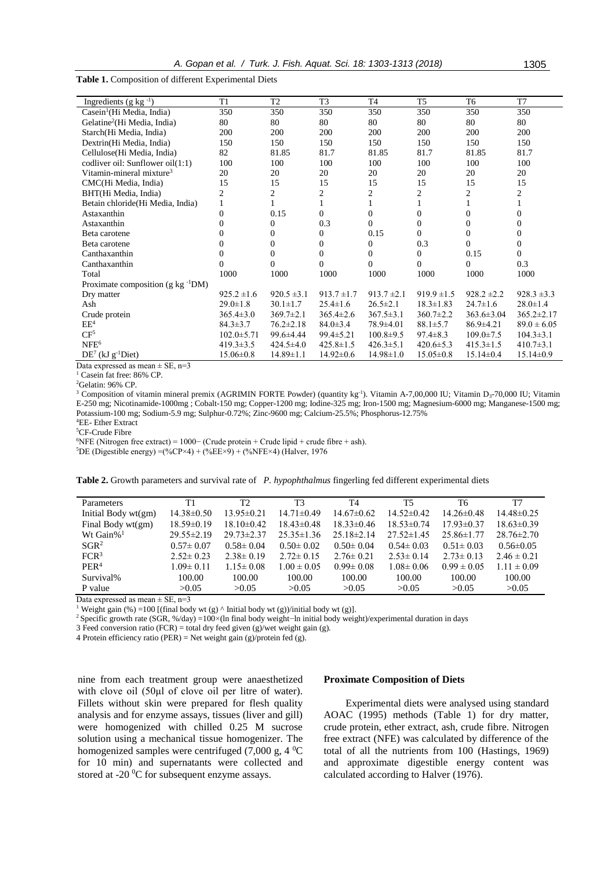**Table 1.** Composition of different Experimental Diets

| Ingredients (g kg $^{-1}$ )                      | T1               | T <sub>2</sub>  | T <sub>3</sub>  | T <sub>4</sub>  | T <sub>5</sub>  | T <sub>6</sub>   | T7                      |
|--------------------------------------------------|------------------|-----------------|-----------------|-----------------|-----------------|------------------|-------------------------|
| $\text{Casein}^1(\text{Hi Media}, \text{India})$ | 350              | 350             | 350             | 350             | 350             | 350              | 350                     |
| Gelatine <sup>2</sup> (Hi Media, India)          | 80               | 80              | 80              | 80              | 80              | 80               | 80                      |
| Starch(Hi Media, India)                          | 200              | 200             | 200             | 200             | 200             | 200              | 200                     |
| Dextrin(Hi Media, India)                         | 150              | 150             | 150             | 150             | 150             | 150              | 150                     |
| Cellulose (Hi Media, India)                      | 82               | 81.85           | 81.7            | 81.85           | 81.7            | 81.85            | 81.7                    |
| codliver oil: Sunflower oil(1:1)                 | 100              | 100             | 100             | 100             | 100             | 100              | 100                     |
| Vitamin-mineral mixture <sup>3</sup>             | 20               | 20              | 20              | 20              | 20              | 20               | 20                      |
| CMC(Hi Media, India)                             | 15               | 15              | 15              | 15              | 15              | 15               | 15                      |
| BHT(Hi Media, India)                             | $\overline{c}$   | $\overline{c}$  | 2               | 2               | 2               | 2                | $\overline{\mathbf{c}}$ |
| Betain chloride (Hi Media, India)                |                  |                 |                 | 1               |                 |                  |                         |
| Astaxanthin                                      | $\theta$         | 0.15            | $\Omega$        | $\Omega$        | $\mathbf{0}$    | 0                | $\mathbf{0}$            |
| Astaxanthin                                      | $\Omega$         | 0               | 0.3             | $\Omega$        | $\Omega$        | $\Omega$         | $\Omega$                |
| Beta carotene                                    | 0                | $\overline{0}$  | $\mathbf{0}$    | 0.15            | 0               | $\overline{0}$   | 0                       |
| Beta carotene                                    | $\theta$         | $\overline{0}$  | $\overline{0}$  | 0               | 0.3             | $\overline{0}$   | $\boldsymbol{0}$        |
| Canthaxanthin                                    | $\theta$         | $\overline{0}$  | $\Omega$        | 0               | 0               | 0.15             | $\Omega$                |
| Canthaxanthin                                    | $\theta$         | 0               | $\Omega$        | $\Omega$        | $\Omega$        | $\Omega$         | 0.3                     |
| Total                                            | 1000             | 1000            | 1000            | 1000            | 1000            | 1000             | 1000                    |
| Proximate composition (g kg <sup>-1</sup> DM)    |                  |                 |                 |                 |                 |                  |                         |
| Dry matter                                       | $925.2 \pm 1.6$  | $920.5 \pm 3.1$ | $913.7 \pm 1.7$ | $913.7 \pm 2.1$ | $919.9 \pm 1.5$ | $928.2 \pm 2.2$  | $928.3 \pm 3.3$         |
| Ash                                              | $29.0 \pm 1.8$   | $30.1 \pm 1.7$  | $25.4 \pm 1.6$  | $26.5 \pm 2.1$  | $18.3 \pm 1.83$ | $24.7 \pm 1.6$   | $28.0 \pm 1.4$          |
| Crude protein                                    | $365.4 \pm 3.0$  | $369.7 \pm 2.1$ | $365.4 \pm 2.6$ | $367.5 \pm 3.1$ | $360.7 \pm 2.2$ | $363.6 \pm 3.04$ | $365.2 \pm 2.17$        |
| $EE^4$                                           | $84.3 \pm 3.7$   | $76.2 \pm 2.18$ | $84.0 \pm 3.4$  | 78.9±4.01       | $88.1 \pm 5.7$  | $86.9 \pm 4.21$  | $89.0 \pm 6.05$         |
| CF <sup>5</sup>                                  | $102.0 \pm 5.71$ | 99.6±4.44       | $99.4 \pm 5.21$ | $100.8 \pm 9.5$ | $97.4 \pm 8.3$  | $109.0 \pm 7.5$  | $104.3 \pm 3.1$         |
| NFE <sup>6</sup>                                 | $419.3 \pm 3.5$  | $424.5 \pm 4.0$ | $425.8 \pm 1.5$ | $426.3 \pm 5.1$ | $420.6 \pm 5.3$ | $415.3 \pm 1.5$  | $410.7 \pm 3.1$         |
| $DE7$ (kJ g <sup>-1</sup> Diet)                  | $15.06 \pm 0.8$  | $14.89 \pm 1.1$ | $14.92 \pm 0.6$ | $14.98 \pm 1.0$ | $15.05 \pm 0.8$ | $15.14 \pm 0.4$  | $15.14 \pm 0.9$         |
| $\sim$ $\sim$ $\sim$<br>$\sim$                   |                  |                 |                 |                 |                 |                  |                         |

Data expressed as mean  $\pm$  SE, n=3

<sup>1</sup> Casein fat free: 86% CP.

<sup>2</sup>Gelatin: 96% CP.

<sup>3</sup> Composition of vitamin mineral premix (AGRIMIN FORTE Powder) (quantity kg<sup>-1</sup>). Vitamin A-7,00,000 IU; Vitamin D<sub>3</sub>-70,000 IU; Vitamin E-250 mg; Nicotinamide-1000mg ; Cobalt-150 mg; Copper-1200 mg; Iodine-325 mg; Iron-1500 mg; Magnesium-6000 mg; Manganese-1500 mg; Potassium-100 mg; Sodium-5.9 mg; Sulphur-0.72%; Zinc-9600 mg; Calcium-25.5%; Phosphorus-12.75%

<sup>4</sup>EE- Ether Extract

<sup>5</sup>CF-Crude Fibre

<sup>6</sup>NFE (Nitrogen free extract) = 1000− (Crude protein + Crude lipid + crude fibre + ash).

<sup>5</sup>DE (Digestible energy) =(%CP×4) + (%EE×9) + (%NFE×4) (Halver, 1976

**Table 2.** Growth parameters and survival rate of *P. hypophthalmus* fingerling fed different experimental diets

| Parameters          | Τ1               | T <sub>2</sub>   | T3               | T4               | T5               | T6               | T7               |
|---------------------|------------------|------------------|------------------|------------------|------------------|------------------|------------------|
| Initial Body wt(gm) | $14.38 \pm 0.50$ | $13.95 \pm 0.21$ | $14.71 \pm 0.49$ | $14.67 \pm 0.62$ | $14.52 \pm 0.42$ | $14.26 \pm 0.48$ | $14.48\pm0.25$   |
| Final Body wt(gm)   | $18.59 \pm 0.19$ | $18.10\pm0.42$   | $18.43 \pm 0.48$ | $18.33 \pm 0.46$ | $18.53 \pm 0.74$ | $17.93 \pm 0.37$ | $18.63 \pm 0.39$ |
| Wt Gain% $1$        | $29.55 \pm 2.19$ | $29.73 \pm 2.37$ | $25.35 \pm 1.36$ | $25.18\pm2.14$   | $27.52 \pm 1.45$ | $25.86 \pm 1.77$ | $28.76 \pm 2.70$ |
| SGR <sup>2</sup>    | $0.57 \pm 0.07$  | $0.58 \pm 0.04$  | $0.50 \pm 0.02$  | $0.50 \pm 0.04$  | $0.54 \pm 0.03$  | $0.51 \pm 0.03$  | $0.56 \pm 0.05$  |
| FCR <sup>3</sup>    | $2.52 \pm 0.23$  | $2.38 \pm 0.19$  | $2.72 \pm 0.15$  | $2.76 \pm 0.21$  | $2.53 \pm 0.14$  | $2.73 \pm 0.13$  | $2.46 \pm 0.21$  |
| PER <sup>4</sup>    | $1.09 \pm 0.11$  | $1.15 \pm 0.08$  | $1.00 \pm 0.05$  | $0.99 \pm 0.08$  | $1.08 \pm 0.06$  | $0.99 \pm 0.05$  | $1.11 \pm 0.09$  |
| Survival%           | 100.00           | 100.00           | 100.00           | 100.00           | 100.00           | 100.00           | 100.00           |
| P value             | >0.05            | >0.05            | >0.05            | >0.05            | >0.05            | >0.05            | >0.05            |
|                     |                  |                  |                  |                  |                  |                  |                  |

Data expressed as mean  $\pm$  SE, n=3

<sup>1</sup> Weight gain (%) =100 [(final body wt (g)  $\land$  Initial body wt (g))/initial body wt (g)].

<sup>2</sup>Specific growth rate (SGR, %/day) =100×(ln final body weight−ln initial body weight)/experimental duration in days

3 Feed conversion ratio (FCR) = total dry feed given (g)/wet weight gain (g).

4 Protein efficiency ratio (PER) = Net weight gain (g)/protein fed (g).

nine from each treatment group were anaesthetized with clove oil (50μl of clove oil per litre of water). Fillets without skin were prepared for flesh quality analysis and for enzyme assays, tissues (liver and gill) were homogenized with chilled 0.25 M sucrose solution using a mechanical tissue homogenizer. The homogenized samples were centrifuged (7,000 g, 4 $\mathrm{^0C}$ for 10 min) and supernatants were collected and stored at -20 <sup>o</sup>C for subsequent enzyme assays.

#### **Proximate Composition of Diets**

Experimental diets were analysed using standard AOAC (1995) methods (Table 1) for dry matter, crude protein, ether extract, ash, crude fibre. Nitrogen free extract (NFE) was calculated by difference of the total of all the nutrients from 100 (Hastings, 1969) and approximate digestible energy content was calculated according to Halver (1976).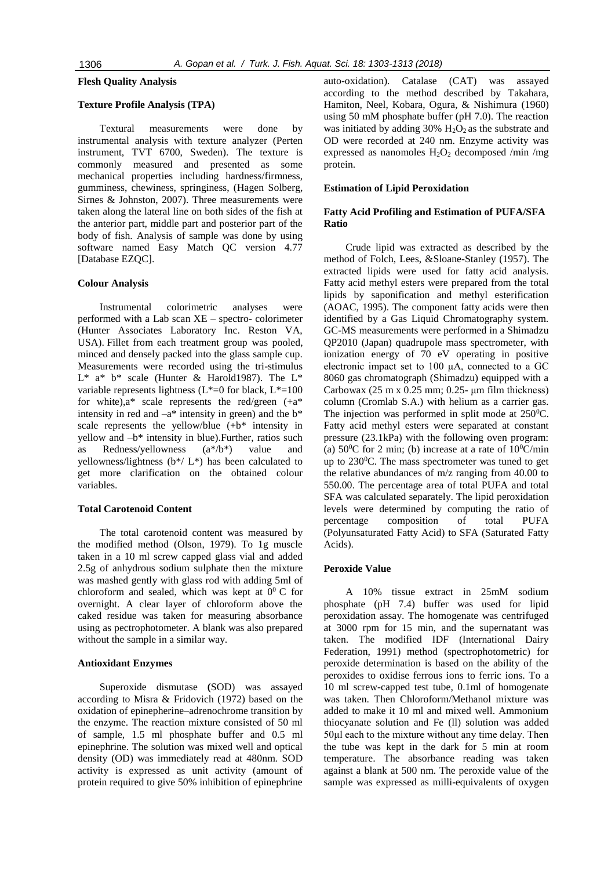# **Flesh Quality Analysis**

# **Texture Profile Analysis (TPA)**

Textural measurements were done by instrumental analysis with texture analyzer (Perten instrument, TVT 6700, Sweden). The texture is commonly measured and presented as some mechanical properties including hardness/firmness, gumminess, chewiness, springiness, (Hagen Solberg, Sirnes & Johnston, [2007\)](http://onlinelibrary.wiley.com/doi/10.1111/1541-4337.12043/full#crf312043-bib-0038). Three measurements were taken along the lateral line on both sides of the fish at the anterior part, middle part and posterior part of the body of fish. Analysis of sample was done by using software named Easy Match QC version 4.77 [Database EZQC].

#### **Colour Analysis**

Instrumental colorimetric analyses were performed with a Lab scan XE – spectro- colorimeter (Hunter Associates Laboratory Inc. Reston VA, USA). Fillet from each treatment group was pooled, minced and densely packed into the glass sample cup. Measurements were recorded using the tri-stimulus  $L^*$  a\* b\* scale (Hunter & Harold1987). The  $L^*$ variable represents lightness ( $L^*=0$  for black,  $L^*=100$ for white), $a^*$  scale represents the red/green  $(+a^*)$ intensity in red and  $-a^*$  intensity in green) and the  $b^*$ scale represents the yellow/blue  $(+b^*)$  intensity in yellow and –b\* intensity in blue).Further, ratios such as Redness/yellowness (a\*/b\*) value and yellowness/lightness ( $b*/L^*$ ) has been calculated to get more clarification on the obtained colour variables.

#### **Total Carotenoid Content**

The total carotenoid content was measured by the modified method (Olson, 1979). To 1g muscle taken in a 10 ml screw capped glass vial and added 2.5g of anhydrous sodium sulphate then the mixture was mashed gently with glass rod with adding 5ml of chloroform and sealed, which was kept at  $0^0$  C for overnight. A clear layer of chloroform above the caked residue was taken for measuring absorbance using as pectrophotometer. A blank was also prepared without the sample in a similar way.

#### **Antioxidant Enzymes**

Superoxide dismutase **(**SOD) was assayed according to Misra & Fridovich (1972) based on the oxidation of epinepherine–adrenochrome transition by the enzyme. The reaction mixture consisted of 50 ml of sample, 1.5 ml phosphate buffer and 0.5 ml epinephrine. The solution was mixed well and optical density (OD) was immediately read at 480nm. SOD activity is expressed as unit activity (amount of protein required to give 50% inhibition of epinephrine

auto-oxidation). Catalase (CAT) was assayed according to the method described by Takahara, Hamiton, Neel, Kobara, Ogura, & Nishimura (1960) using 50 mM phosphate buffer (pH 7.0). The reaction was initiated by adding  $30\%$  H<sub>2</sub>O<sub>2</sub> as the substrate and OD were recorded at 240 nm. Enzyme activity was expressed as nanomoles  $H_2O_2$  decomposed /min /mg protein.

### **Estimation of Lipid Peroxidation**

# **Fatty Acid Profiling and Estimation of PUFA/SFA Ratio**

Crude lipid was extracted as described by the method of Folch, Lees, &Sloane-Stanley (1957). The extracted lipids were used for fatty acid analysis. Fatty acid methyl esters were prepared from the total lipids by saponification and methyl esterification (AOAC, 1995). The component fatty acids were then identified by a Gas Liquid Chromatography system. GC-MS measurements were performed in a Shimadzu QP2010 (Japan) quadrupole mass spectrometer, with ionization energy of 70 eV operating in positive electronic impact set to 100 μA, connected to a GC 8060 gas chromatograph (Shimadzu) equipped with a Carbowax  $(25 \text{ m x } 0.25 \text{ mm}; 0.25 - \mu \text{m film thickness})$ column (Cromlab S.A.) with helium as a carrier gas. The injection was performed in split mode at  $250^{\circ}$ C. Fatty acid methyl esters were separated at constant pressure (23.1kPa) with the following oven program: (a)  $50^{\circ}$ C for 2 min; (b) increase at a rate of  $10^{\circ}$ C/min up to  $230^{\circ}$ C. The mass spectrometer was tuned to get the relative abundances of m/z ranging from 40.00 to 550.00. The percentage area of total PUFA and total SFA was calculated separately. The lipid peroxidation levels were determined by computing the ratio of percentage composition of total PUFA (Polyunsaturated Fatty Acid) to SFA (Saturated Fatty Acids).

#### **Peroxide Value**

A 10% tissue extract in 25mM sodium phosphate (pH 7.4) buffer was used for lipid peroxidation assay. The homogenate was centrifuged at 3000 rpm for 15 min, and the supernatant was taken. The modified IDF (International Dairy Federation, 1991) method (spectrophotometric) for peroxide determination is based on the ability of the peroxides to oxidise ferrous ions to ferric ions. To a 10 ml screw-capped test tube, 0.1ml of homogenate was taken. Then Chloroform/Methanol mixture was added to make it 10 ml and mixed well. Ammonium thiocyanate solution and Fe (ll) solution was added 50μl each to the mixture without any time delay. Then the tube was kept in the dark for 5 min at room temperature. The absorbance reading was taken against a blank at 500 nm. The peroxide value of the sample was expressed as milli-equivalents of oxygen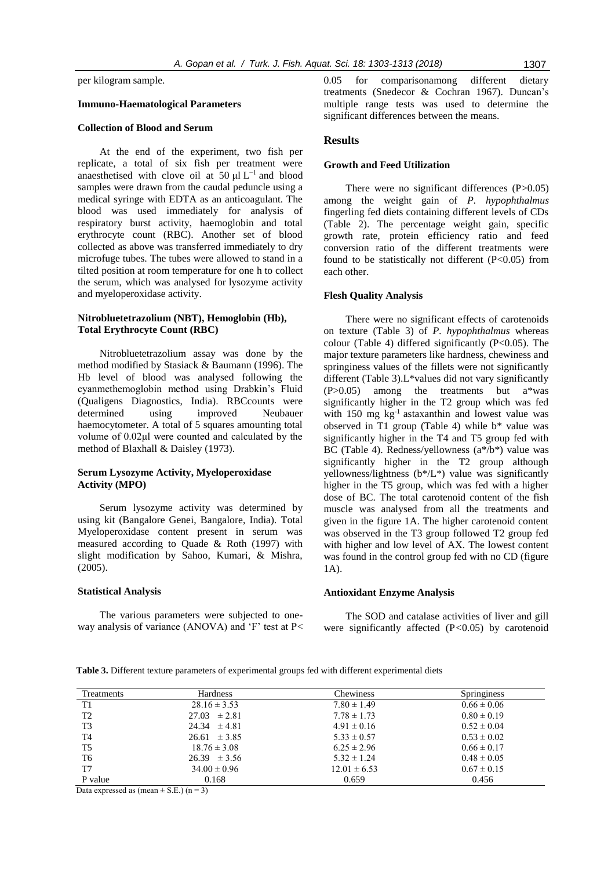per kilogram sample.

## **Immuno-Haematological Parameters**

#### **Collection of Blood and Serum**

At the end of the experiment, two fish per replicate, a total of six fish per treatment were anaesthetised with clove oil at 50  $\mu$ l L<sup>-1</sup> and blood samples were drawn from the caudal peduncle using a medical syringe with EDTA as an anticoagulant. The blood was used immediately for analysis of respiratory burst activity, haemoglobin and total erythrocyte count (RBC). Another set of blood collected as above was transferred immediately to dry microfuge tubes. The tubes were allowed to stand in a tilted position at room temperature for one h to collect the serum, which was analysed for lysozyme activity and myeloperoxidase activity.

## **Nitrobluetetrazolium (NBT), Hemoglobin (Hb), Total Erythrocyte Count (RBC)**

Nitrobluetetrazolium assay was done by the method modified by Stasiack & Baumann (1996). The Hb level of blood was analysed following the cyanmethemoglobin method using Drabkin's Fluid (Qualigens Diagnostics, India). RBCcounts were determined using improved Neubauer haemocytometer. A total of 5 squares amounting total volume of 0.02μl were counted and calculated by the method of Blaxhall & Daisley (1973).

## **Serum Lysozyme Activity, Myeloperoxidase Activity (MPO)**

Serum lysozyme activity was determined by using kit (Bangalore Genei, Bangalore, India). Total Myeloperoxidase content present in serum was measured according to Quade & Roth (1997) with slight modification by Sahoo, Kumari, & Mishra, (2005).

#### **Statistical Analysis**

The various parameters were subjected to oneway analysis of variance (ANOVA) and 'F' test at P< 0.05 for comparisonamong different dietary treatments (Snedecor & Cochran 1967). Duncan's multiple range tests was used to determine the significant differences between the means.

# **Results**

#### **Growth and Feed Utilization**

There were no significant differences (P>0.05) among the weight gain of *P. hypophthalmus* fingerling fed diets containing different levels of CDs (Table 2). The percentage weight gain, specific growth rate, protein efficiency ratio and feed conversion ratio of the different treatments were found to be statistically not different  $(P<0.05)$  from each other.

#### **Flesh Quality Analysis**

There were no significant effects of carotenoids on texture (Table 3) of *P. hypophthalmus* whereas colour (Table 4) differed significantly  $(P<0.05)$ . The major texture parameters like hardness, chewiness and springiness values of the fillets were not significantly different (Table 3).L\*values did not vary significantly (P>0.05) among the treatments but a\*was significantly higher in the T2 group which was fed with 150 mg kg-1 astaxanthin and lowest value was observed in T1 group (Table 4) while b\* value was significantly higher in the T4 and T5 group fed with BC (Table 4). Redness/yellowness  $(a^*/b^*)$  value was significantly higher in the T2 group although yellowness/lightness (b\*/L\*) value was significantly higher in the T5 group, which was fed with a higher dose of BC. The total carotenoid content of the fish muscle was analysed from all the treatments and given in the figure 1A. The higher carotenoid content was observed in the T3 group followed T2 group fed with higher and low level of AX. The lowest content was found in the control group fed with no CD (figure 1A).

## **Antioxidant Enzyme Analysis**

The SOD and catalase activities of liver and gill were significantly affected (P*<*0.05) by carotenoid

| Table 3. Different texture parameters of experimental groups fed with different experimental diets |  |  |  |  |
|----------------------------------------------------------------------------------------------------|--|--|--|--|
|----------------------------------------------------------------------------------------------------|--|--|--|--|

| <b>Treatments</b> | Hardness         | Chewiness        | <b>Springiness</b> |
|-------------------|------------------|------------------|--------------------|
| T1                | $28.16 \pm 3.53$ | $7.80 \pm 1.49$  | $0.66 \pm 0.06$    |
| T <sub>2</sub>    | $27.03 \pm 2.81$ | $7.78 \pm 1.73$  | $0.80 \pm 0.19$    |
| T <sub>3</sub>    | $24.34 \pm 4.81$ | $4.91 \pm 0.16$  | $0.52 \pm 0.04$    |
| T <sub>4</sub>    | $26.61 \pm 3.85$ | $5.33 \pm 0.57$  | $0.53 \pm 0.02$    |
| T <sub>5</sub>    | $18.76 \pm 3.08$ | $6.25 \pm 2.96$  | $0.66 \pm 0.17$    |
| T6                | $26.39 \pm 3.56$ | $5.32 \pm 1.24$  | $0.48 \pm 0.05$    |
| T7                | $34.00 \pm 0.96$ | $12.01 \pm 6.53$ | $0.67 \pm 0.15$    |
| P value           | 0.168            | 0.659            | 0.456              |

Data expressed as (mean  $\pm$  S.E.) (n = 3)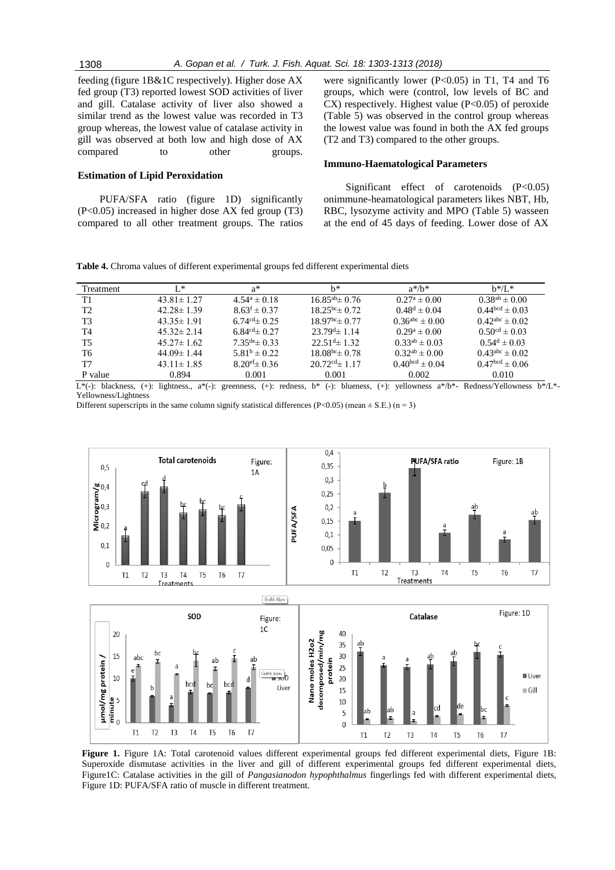feeding (figure 1B&1C respectively). Higher dose AX fed group (T3) reported lowest SOD activities of liver and gill. Catalase activity of liver also showed a similar trend as the lowest value was recorded in T3 group whereas, the lowest value of catalase activity in gill was observed at both low and high dose of AX compared to other groups.

### **Estimation of Lipid Peroxidation**

PUFA/SFA ratio (figure 1D) significantly (P<0.05) increased in higher dose AX fed group (T3) compared to all other treatment groups. The ratios

were significantly lower (P<0.05) in T1, T4 and T6 groups, which were (control, low levels of BC and  $CX$ ) respectively. Highest value ( $P<0.05$ ) of peroxide (Table 5) was observed in the control group whereas the lowest value was found in both the AX fed groups (T2 and T3) compared to the other groups.

#### **Immuno-Haematological Parameters**

Significant effect of carotenoids (P<0.05) onimmune-heamatological parameters likes NBT, Hb, RBC, lysozyme activity and MPO (Table 5) wasseen at the end of 45 days of feeding. Lower dose of AX

**Table 4.** Chroma values of different experimental groups fed different experimental diets

| Treatment      | $L^*$            | a*                          | h*                         | $a^*/b^*$               | $b*/L^*$                                                                                                                                                                                                                                        |
|----------------|------------------|-----------------------------|----------------------------|-------------------------|-------------------------------------------------------------------------------------------------------------------------------------------------------------------------------------------------------------------------------------------------|
| T1             | $43.81 \pm 1.27$ | $4.54^a \pm 0.18$           | $16.85^{ab}$ ± 0.76        | $0.27^{\rm a} \pm 0.00$ | $0.38^{ab} \pm 0.00$                                                                                                                                                                                                                            |
| T <sub>2</sub> | $42.28 \pm 1.39$ | $8.63^f \pm 0.37$           | $18.25^{bc} \pm 0.72$      | $0.48^d \pm 0.04$       | $0.44^{bcd} \pm 0.03$                                                                                                                                                                                                                           |
| T <sub>3</sub> | $43.35 \pm 1.91$ | $6.74^{\text{cd}} \pm 0.25$ | $18.97bc \pm 0.77$         | $0.36^{abc} \pm 0.00$   | $0.42^{abc} \pm 0.02$                                                                                                                                                                                                                           |
| T4             | $45.32 \pm 2.14$ | 6.84 $\text{cd}_{\pm}$ 0.27 | $23.79^{d}$ ± 1.14         | $0.29^a \pm 0.00$       | $0.50^{cd} \pm 0.03$                                                                                                                                                                                                                            |
| T <sub>5</sub> | $45.27 \pm 1.62$ | $7.35^{\text{de}} \pm 0.33$ | $22.51d$ ± 1.32            | $0.33^{ab} \pm 0.03$    | $0.54^d \pm 0.03$                                                                                                                                                                                                                               |
| T <sub>6</sub> | $44.09 \pm 1.44$ | $5.81^b \pm 0.22$           | $18.08^{bc}$ $\pm 0.78$    | $0.32^{ab} \pm 0.00$    | $0.43^{abc} \pm 0.02$                                                                                                                                                                                                                           |
| T7             | $43.11 \pm 1.85$ | $8.20^{\text{ef}} \pm 0.36$ | $20.72^{\text{cd}}$ ± 1.17 | $0.40^{bcd} \pm 0.04$   | $0.47bcd \pm 0.06$                                                                                                                                                                                                                              |
| P value        | 0.894            | 0.001                       | 0.001                      | 0.002                   | 0.010                                                                                                                                                                                                                                           |
|                |                  |                             |                            |                         | $\mathbf{L}^*(\lambda)$ is a set of $\mathbf{L}^*(\lambda)$ is a set of $\mathbf{L}^*(\lambda)$ is a set of $\mathbf{L}^*(\lambda)$ is a set of $\mathbf{L}^*(\lambda)$ is a set of $\mathbf{L}^*(\lambda)$ is a set of $\mathbf{L}^*(\lambda)$ |

 $L^*(-)$ : blackness, (+): lightness., a\*(-): greenness, (+): redness, b\* (-): blueness, (+): yellowness a\*/b\*- Redness/Yellowness b\*/L\*-Yellowness/Lightness

Different superscripts in the same column signify statistical differences (P<0.05) (mean  $\pm$  S.E.) (n = 3)



Figure 1. Figure 1A: Total carotenoid values different experimental groups fed different experimental diets, Figure 1B: Superoxide dismutase activities in the liver and gill of different experimental groups fed different experimental diets, Figure1C: Catalase activities in the gill of *Pangasianodon hypophthalmus* fingerlings fed with different experimental diets, Figure 1D: PUFA/SFA ratio of muscle in different treatment.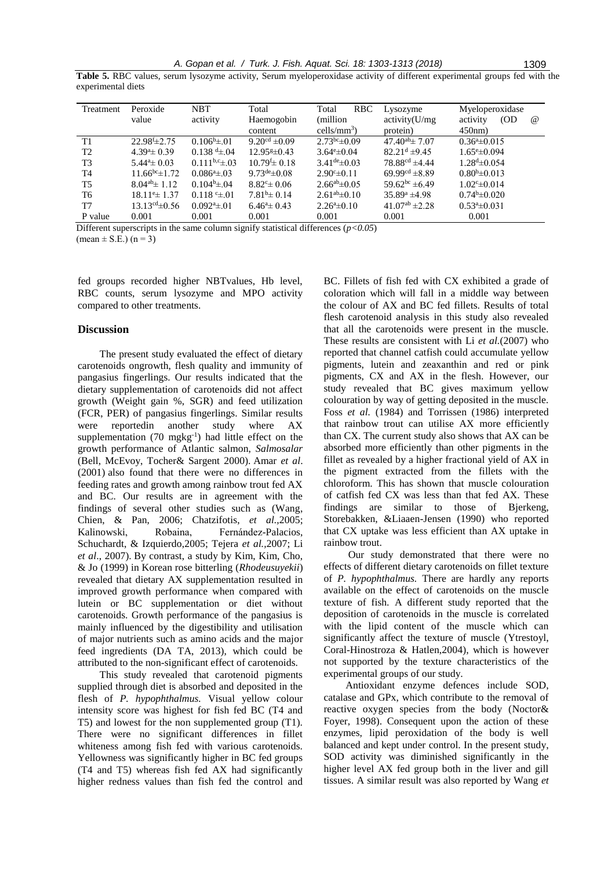**Table 5.** RBC values, serum lysozyme activity, Serum myeloperoxidase activity of different experimental groups fed with the experimental diets

| Treatment      | Peroxide                | <b>NBT</b>               | Total                          | <b>RBC</b><br>Total        | Lysozyme                       | Myeloperoxidase              |
|----------------|-------------------------|--------------------------|--------------------------------|----------------------------|--------------------------------|------------------------------|
|                | value                   | activity                 | Haemogobin                     | (million)                  | activity(U/mg)                 | (OD)<br>$\omega$<br>activity |
|                |                         |                          | content                        | $\text{cells/mm}^3$ )      | protein)                       | 450nm                        |
| T1             | $22.98f_{\pm}2.75$      | $0.106^{\rm b} \pm 0.01$ | $9.20^{cd} \pm 0.09$           | $2.73bc \pm 0.09$          | $47.40^{ab} \pm 7.07$          | $0.36^{\circ}$ ± 0.015       |
| T <sub>2</sub> | $4.394 \pm 0.39$        | $0.138 \pm 0.04$         | $12.95\text{\textless}\pm0.43$ | $3.64^{\circ} \pm 0.04$    | $82.21d \pm 9.45$              | $1.65^{\circ} \pm 0.094$     |
| T <sub>3</sub> | $5.44^{\circ} \pm 0.03$ | $0.111^{b,c} \pm .03$    | $10.79 f_{\pm} 0.18$           | $3.41^{\text{de}}\pm 0.03$ | $78.88^{cd}$ $\pm 4.44$        | $1.28^{d} \pm 0.054$         |
| T <sub>4</sub> | $11.66^{bc} \pm 1.72$   | $0.0864 \pm 0.03$        | $9.73^{\text{de}}\pm 0.08$     | $2.90^{\circ} \pm 0.11$    | 69.99 <sup>cd</sup> $\pm$ 8.89 | $0.80^{b} \pm 0.013$         |
| T <sub>5</sub> | $8.04^{ab}$ ± 1.12      | $0.104b \pm 0.04$        | $8.82^{\circ} \pm 0.06$        | $2.66^{ab} \pm 0.05$       | $59.62^{bc}$ ±6.49             | $1.02^{\circ}$ ±0.014        |
| T <sub>6</sub> | $18.11^{\circ}$ ± 1.37  | $0.118 \pm 01$           | $7.81b\pm 0.14$                | $2.61^{ab} \pm 0.10$       | $35.89^{\circ}$ ±4.98          | $0.74b\pm 0.020$             |
| T7             | $13.13^{cd} \pm 0.56$   | $0.0924 \pm 01$          | $6.46^{\circ} \pm 0.43$        | $2.26^{\circ} \pm 0.10$    | $41.07^{ab}$ ±2.28             | $0.534 \pm 0.031$            |
| P value        | 0.001                   | 0.001                    | 0.001                          | 0.001                      | 0.001                          | 0.001                        |

Different superscripts in the same column signify statistical differences (*p<0.05*)  $(\text{mean} \pm \text{S.E.}) (\text{n} = 3)$ 

fed groups recorded higher NBTvalues, Hb level, RBC counts, serum lysozyme and MPO activity compared to other treatments.

#### **Discussion**

The present study evaluated the effect of dietary carotenoids ongrowth, flesh quality and immunity of pangasius fingerlings. Our results indicated that the dietary supplementation of carotenoids did not affect growth (Weight gain %, SGR) and feed utilization (FCR, PER) of pangasius fingerlings. Similar results were reportedin another study where AX supplementation  $(70 \text{ mgkg}^{-1})$  had little effect on the growth performance of Atlantic salmon, *Salmosalar* (Bell, McEvoy, Tocher& Sargent 2000). Amar *et al*. (2001) also found that there were no differences in feeding rates and growth among rainbow trout fed AX and BC. Our results are in agreement with the findings of several other studies such as (Wang, Chien, & Pan, 2006; Chatzifotis, *et al.,*2005; Kalinowski, Robaina, Fernández-Palacios, Schuchardt, & Izquierdo,2005; Tejera *et al.,*2007; Li *et al*., 2007). By contrast, a study by Kim, Kim, Cho, & Jo (1999) in Korean rose bitterling (*Rhodeusuyekii*) revealed that dietary AX supplementation resulted in improved growth performance when compared with lutein or BC supplementation or diet without carotenoids. Growth performance of the pangasius is mainly influenced by the digestibility and utilisation of major nutrients such as amino acids and the major feed ingredients (DA TA, 2013), which could be attributed to the non-significant effect of carotenoids.

This study revealed that carotenoid pigments supplied through diet is absorbed and deposited in the flesh of *P. hypophthalmus.* Visual yellow colour intensity score was highest for fish fed BC (T4 and T5) and lowest for the non supplemented group (T1). There were no significant differences in fillet whiteness among fish fed with various carotenoids. Yellowness was significantly higher in BC fed groups (T4 and T5) whereas fish fed AX had significantly higher redness values than fish fed the control and

BC. Fillets of fish fed with CX exhibited a grade of coloration which will fall in a middle way between the colour of AX and BC fed fillets. Results of total flesh carotenoid analysis in this study also revealed that all the carotenoids were present in the muscle. These results are consistent with Li *et al.*(2007) who reported that channel catfish could accumulate yellow pigments, lutein and zeaxanthin and red or pink pigments, CX and AX in the flesh. However, our study revealed that BC gives maximum yellow colouration by way of getting deposited in the muscle. Foss *et al.* (1984) and Torrissen (1986) interpreted that rainbow trout can utilise AX more efficiently than CX. The current study also shows that AX can be absorbed more efficiently than other pigments in the fillet as revealed by a higher fractional yield of AX in the pigment extracted from the fillets with the chloroform. This has shown that muscle colouration of catfish fed CX was less than that fed AX. These findings are similar to those of Bjerkeng, Storebakken, &Liaaen-Jensen (1990) who reported that CX uptake was less efficient than AX uptake in rainbow trout.

Our study demonstrated that there were no effects of different dietary carotenoids on fillet texture of *P. hypophthalmus.* There are hardly any reports available on the effect of carotenoids on the muscle texture of fish. A different study reported that the deposition of carotenoids in the muscle is correlated with the lipid content of the muscle which can significantly affect the texture of muscle (Ytrestoyl, Coral-Hinostroza & Hatlen,2004), which is however not supported by the texture characteristics of the experimental groups of our study.

Antioxidant enzyme defences include SOD, catalase and GPx, which contribute to the removal of reactive oxygen species from the body (Noctor& Foyer, 1998). Consequent upon the action of these enzymes, lipid peroxidation of the body is well balanced and kept under control. In the present study, SOD activity was diminished significantly in the higher level AX fed group both in the liver and gill tissues. A similar result was also reported by Wang *et*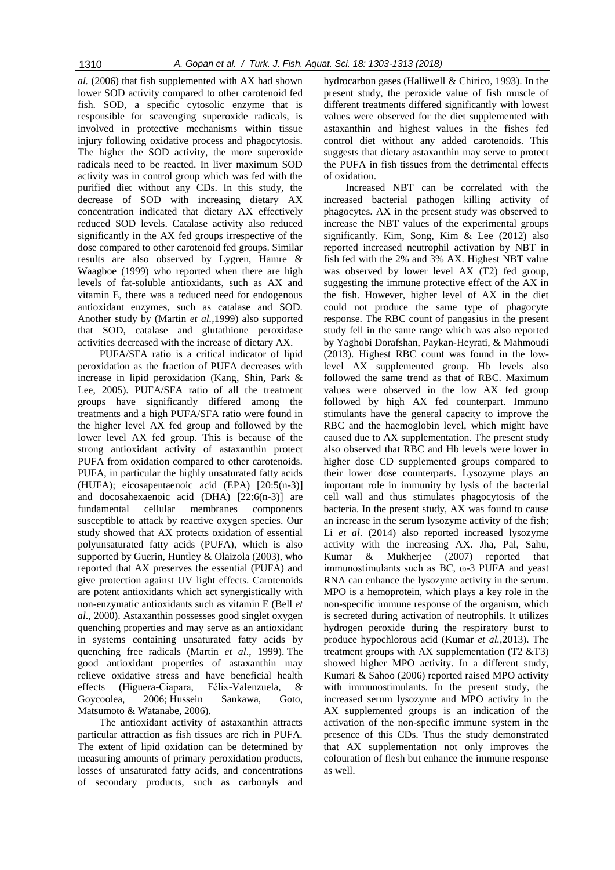*al.* (2006) that fish supplemented with AX had shown lower SOD activity compared to other carotenoid fed fish. SOD, a specific cytosolic enzyme that is responsible for scavenging superoxide radicals, is involved in protective mechanisms within tissue injury following oxidative process and phagocytosis. The higher the SOD activity, the more superoxide radicals need to be reacted. In liver maximum SOD activity was in control group which was fed with the purified diet without any CDs. In this study, the decrease of SOD with increasing dietary AX concentration indicated that dietary AX effectively reduced SOD levels. Catalase activity also reduced significantly in the AX fed groups irrespective of the dose compared to other carotenoid fed groups. Similar results are also observed by Lygren, Hamre & Waagboe (1999) who reported when there are high levels of fat-soluble antioxidants, such as AX and vitamin E, there was a reduced need for endogenous antioxidant enzymes, such as catalase and SOD. Another study by (Martin *et al.,*1999) also supported that SOD, catalase and glutathione peroxidase activities decreased with the increase of dietary AX.

PUFA/SFA ratio is a critical indicator of lipid peroxidation as the fraction of PUFA decreases with increase in lipid peroxidation (Kang, Shin, Park & Lee, 2005). PUFA/SFA ratio of all the treatment groups have significantly differed among the treatments and a high PUFA/SFA ratio were found in the higher level AX fed group and followed by the lower level AX fed group. This is because of the strong antioxidant activity of astaxanthin protect PUFA from oxidation compared to other carotenoids. PUFA, in particular the highly unsaturated fatty acids (HUFA); eicosapentaenoic acid (EPA) [20:5(n-3)] and docosahexaenoic acid (DHA) [22:6(n-3)] are fundamental cellular membranes components susceptible to attack by reactive oxygen species. Our study showed that AX protects oxidation of essential polyunsaturated fatty acids (PUFA), which is also supported by Guerin, Huntley & Olaizola (2003), who reported that AX preserves the essential (PUFA) and give protection against UV light effects. Carotenoids are potent antioxidants which act synergistically with non-enzymatic antioxidants such as vitamin E (Bell *et al*., 2000). Astaxanthin possesses good singlet oxygen quenching properties and may serve as an antioxidant in systems containing unsaturated fatty acids by quenching free radicals (Martin *et al*., 1999). The good antioxidant properties of astaxanthin may relieve oxidative stress and have beneficial health effects (Higuera-Ciapara, Félix-Valenzuela, & Goycoolea, 2006; Hussein Sankawa, Goto, Matsumoto & Watanabe, 2006).

The antioxidant activity of astaxanthin attracts particular attraction as fish tissues are rich in PUFA. The extent of lipid oxidation can be determined by measuring amounts of primary peroxidation products, losses of unsaturated fatty acids, and concentrations of secondary products, such as carbonyls and

hydrocarbon gases (Halliwell & Chirico, 1993). In the present study, the peroxide value of fish muscle of different treatments differed significantly with lowest values were observed for the diet supplemented with astaxanthin and highest values in the fishes fed control diet without any added carotenoids. This suggests that dietary astaxanthin may serve to protect the PUFA in fish tissues from the detrimental effects of oxidation.

Increased NBT can be correlated with the increased bacterial pathogen killing activity of phagocytes. AX in the present study was observed to increase the NBT values of the experimental groups significantly. Kim, Song, Kim & Lee (2012) also reported increased neutrophil activation by NBT in fish fed with the 2% and 3% AX. Highest NBT value was observed by lower level AX (T2) fed group, suggesting the immune protective effect of the AX in the fish. However, higher level of AX in the diet could not produce the same type of phagocyte response. The RBC count of pangasius in the present study fell in the same range which was also reported by Yaghobi Dorafshan, Paykan-Heyrati, & Mahmoudi (2013). Highest RBC count was found in the lowlevel AX supplemented group. Hb levels also followed the same trend as that of RBC. Maximum values were observed in the low AX fed group followed by high AX fed counterpart. Immuno stimulants have the general capacity to improve the RBC and the haemoglobin level, which might have caused due to AX supplementation. The present study also observed that RBC and Hb levels were lower in higher dose CD supplemented groups compared to their lower dose counterparts. Lysozyme plays an important role in immunity by lysis of the bacterial cell wall and thus stimulates phagocytosis of the bacteria. In the present study, AX was found to cause an increase in the serum lysozyme activity of the fish; Li *et al*. (2014) also reported increased lysozyme activity with the increasing AX. Jha, Pal, Sahu, Kumar & Mukherjee (2007) reported that immunostimulants such as BC, ω-3 PUFA and yeast RNA can enhance the lysozyme activity in the serum. MPO is a hemoprotein, which plays a key role in the non-specific immune response of the organism, which is secreted during activation of neutrophils. It utilizes hydrogen peroxide during the respiratory burst to produce hypochlorous acid (Kumar *et al.,*2013). The treatment groups with AX supplementation  $(T2 \& T3)$ showed higher MPO activity. In a different study, Kumari & Sahoo (2006) reported raised MPO activity with immunostimulants. In the present study, the increased serum lysozyme and MPO activity in the AX supplemented groups is an indication of the activation of the non-specific immune system in the presence of this CDs. Thus the study demonstrated that AX supplementation not only improves the colouration of flesh but enhance the immune response as well.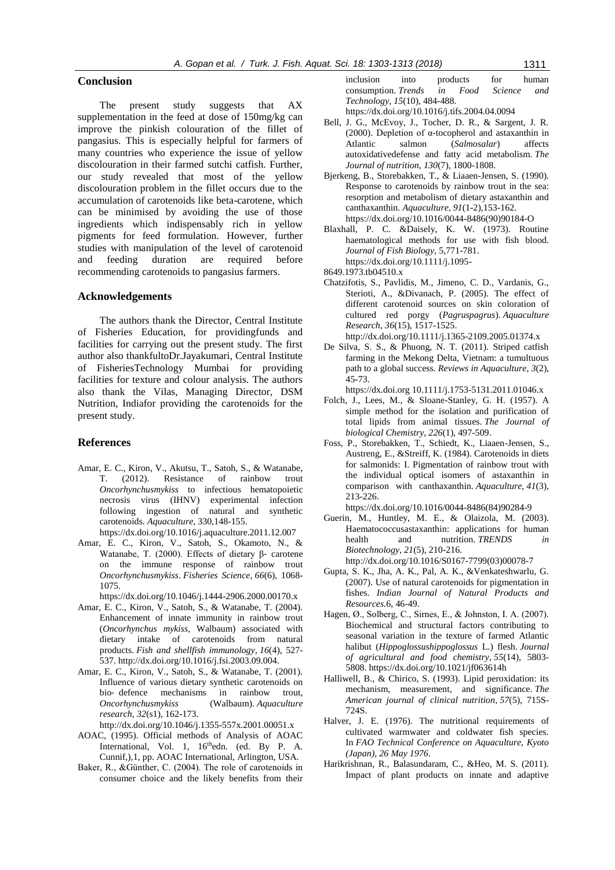#### **Conclusion**

The present study suggests that AX supplementation in the feed at dose of 150mg/kg can improve the pinkish colouration of the fillet of pangasius. This is especially helpful for farmers of many countries who experience the issue of yellow discolouration in their farmed sutchi catfish. Further, our study revealed that most of the yellow discolouration problem in the fillet occurs due to the accumulation of carotenoids like beta-carotene, which can be minimised by avoiding the use of those ingredients which indispensably rich in yellow pigments for feed formulation. However, further studies with manipulation of the level of carotenoid and feeding duration are required before recommending carotenoids to pangasius farmers.

#### **Acknowledgements**

The authors thank the Director, Central Institute of Fisheries Education, for providingfunds and facilities for carrying out the present study. The first author also thankfultoDr.Jayakumari, Central Institute of FisheriesTechnology Mumbai for providing facilities for texture and colour analysis. The authors also thank the Vilas, Managing Director, DSM Nutrition, Indiafor providing the carotenoids for the present study.

#### **References**

- Amar, E. C., Kiron, V., Akutsu, T., Satoh, S., & Watanabe, T. (2012). Resistance of rainbow trout *Oncorhynchusmykiss* to infectious hematopoietic necrosis virus (IHNV) experimental infection following ingestion of natural and synthetic carotenoids. *Aquaculture*, 330,148-155. https://dx.doi.org/10.1016/j.aquaculture.2011.12.007
- Amar, E. C., Kiron, V., Satoh, S., Okamoto, N., & Watanabe, T. (2000). Effects of dietary β‐ carotene on the immune response of rainbow trout *Oncorhynchusmykiss*. *Fisheries Science*, *66*(6), 1068- 1075.
	- https://dx.doi.org/10.1046/j.1444-2906.2000.00170.x
- Amar, E. C., Kiron, V., Satoh, S., & Watanabe, T. (2004). Enhancement of innate immunity in rainbow trout (*Oncorhynchus mykiss,* Walbaum) associated with dietary intake of carotenoids from natural products. *Fish and shellfish immunology*, *16*(4), 527- 537. http://dx.doi.org/10.1016/j.fsi.2003.09.004.
- Amar, E. C., Kiron, V., Satoh, S., & Watanabe, T. (2001). Influence of various dietary synthetic carotenoids on bio‐ defence mechanisms in rainbow trout, *Oncorhynchusmykiss* (Walbaum). *Aquaculture research*, *32*(s1), 162-173.

http://dx.doi.org/10.1046/j.1355-557x.2001.00051.x

- AOAC, (1995). Official methods of Analysis of AOAC International, Vol. 1, 16<sup>th</sup>edn. (ed. By P. A. Cunnif,),1, pp. AOAC International, Arlington, USA.
- Baker, R., &Günther, C. (2004). The role of carotenoids in consumer choice and the likely benefits from their

inclusion into products for human consumption. *Trends in Food Science and Technology*, *15*(10), 484-488. https://dx.doi.org/10.1016/j.tifs.2004.04.0094

- Bell, J. G., McEvoy, J., Tocher, D. R., & Sargent, J. R. (2000). Depletion of α-tocopherol and astaxanthin in Atlantic salmon (*Salmosalar*) affects autoxidativedefense and fatty acid metabolism. *The Journal of nutrition*, *130*(7), 1800-1808.
- Bjerkeng, B., Storebakken, T., & Liaaen-Jensen, S. (1990). Response to carotenoids by rainbow trout in the sea: resorption and metabolism of dietary astaxanthin and canthaxanthin. *Aquaculture*, *91*(1-2),153-162. https://dx.doi.org/10.1016/0044-8486(90)90184-O
- Blaxhall, P. C. &Daisely, K. W. (1973). Routine haematological methods for use with fish blood. *Journal of Fish Biology,* 5,771-781. https://dx.doi.org/10.1111/j.1095-
- 8649.1973.tb04510.x
- Chatzifotis, S., Pavlidis, M., Jimeno, C. D., Vardanis, G., Sterioti, A., &Divanach, P. (2005). The effect of different carotenoid sources on skin coloration of cultured red porgy (*Pagruspagrus*). *Aquaculture Research*, *36*(15), 1517-1525.

http://dx.doi.org/10.1111/j.1365-2109.2005.01374.x

De Silva, S. S., & Phuong, N. T. (2011). Striped catfish farming in the Mekong Delta, Vietnam: a tumultuous path to a global success. *Reviews in Aquaculture*, *3*(2), 45-73.

https://dx.doi.org 10.1111/j.1753-5131.2011.01046.x

- Folch, J., Lees, M., & Sloane-Stanley, G. H. (1957). A simple method for the isolation and purification of total lipids from animal tissues. *The Journal of biological Chemistry*, *226*(1), 497-509.
- Foss, P., Storebakken, T., Schiedt, K., Liaaen-Jensen, S., Austreng, E., &Streiff, K. (1984). Carotenoids in diets for salmonids: I. Pigmentation of rainbow trout with the individual optical isomers of astaxanthin in comparison with canthaxanthin. *Aquaculture*, *41*(3), 213-226. https://dx.doi.org/10.1016/0044-8486(84)90284-9
- Guerin, M., Huntley, M. E., & Olaizola, M. (2003). Haematococcusastaxanthin: applications for human health and nutrition. *TRENDS in Biotechnology*, *21*(5), 210-216. http://dx.doi.org/10.1016/S0167-7799(03)00078-7
- Gupta, S. K., Jha, A. K., Pal, A. K., &Venkateshwarlu, G. (2007). Use of natural carotenoids for pigmentation in fishes. *Indian Journal of Natural Products and Resources.*6, 46-49.
- Hagen, Ø., Solberg, C., Sirnes, E., & Johnston, I. A. (2007). Biochemical and structural factors contributing to seasonal variation in the texture of farmed Atlantic halibut (*Hippoglossushippoglossus* L.) flesh. *Journal of agricultural and food chemistry*, *55*(14), 5803- 5808. https://dx.doi.org/10.1021/jf063614h
- Halliwell, B., & Chirico, S. (1993). Lipid peroxidation: its mechanism, measurement, and significance. *The American journal of clinical nutrition*, *57*(5), 715S-724S.
- Halver, J. E. (1976). The nutritional requirements of cultivated warmwater and coldwater fish species. In *FAO Technical Conference on Aquaculture, Kyoto (Japan), 26 May 1976*.
- Harikrishnan, R., Balasundaram, C., &Heo, M. S. (2011). Impact of plant products on innate and adaptive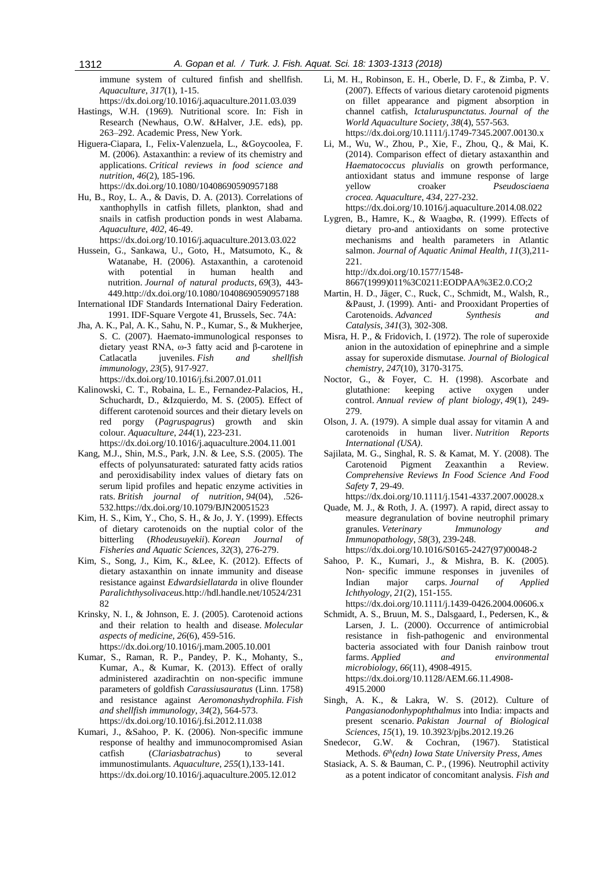immune system of cultured finfish and shellfish. *Aquaculture*, *317*(1), 1-15.

https://dx.doi.org/10.1016/j.aquaculture.2011.03.039

- Hastings, W.H. (1969). Nutritional score. In: Fish in Research (Newhaus, O.W. &Halver, J.E. eds), pp. 263–292. Academic Press, New York.
- Higuera-Ciapara, I., Felix-Valenzuela, L., &Goycoolea, F. M. (2006). Astaxanthin: a review of its chemistry and applications. *Critical reviews in food science and nutrition*, *46*(2), 185-196.

https://dx.doi.org/10.1080/10408690590957188

- Hu, B., Roy, L. A., & Davis, D. A. (2013). Correlations of xanthophylls in catfish fillets, plankton, shad and snails in catfish production ponds in west Alabama. *Aquaculture*, *402*, 46-49.
- https://dx.doi.org/10.1016/j.aquaculture.2013.03.022
- Hussein, G., Sankawa, U., Goto, H., Matsumoto, K., & Watanabe, H. (2006). Astaxanthin, a carotenoid with potential in human health and nutrition. *Journal of natural products*, *69*(3), 443- 449.http://dx.doi.org/10.1080/10408690590957188
- International IDF Standards International Dairy Federation. 1991. IDF-Square Vergote 41, Brussels, Sec. 74A:
- Jha, A. K., Pal, A. K., Sahu, N. P., Kumar, S., & Mukherjee, S. C. (2007). Haemato-immunological responses to dietary yeast RNA, ω-3 fatty acid and β-carotene in Catlacatla juveniles. *Fish and shellfish immunology*, *23*(5), 917-927. https://dx.doi.org/10.1016/j.fsi.2007.01.011
- Kalinowski, C. T., Robaina, L. E., Fernandez-Palacios, H., Schuchardt, D., &Izquierdo, M. S. (2005). Effect of different carotenoid sources and their dietary levels on red porgy (*Pagruspagrus*) growth and skin colour. *Aquaculture*, *244*(1), 223-231.

https://dx.doi.org/10.1016/j.aquaculture.2004.11.001

- Kang, M.J., Shin, M.S., Park, J.N. & Lee, S.S. (2005). The effects of polyunsaturated: saturated fatty acids ratios and peroxidisability index values of dietary fats on serum lipid profiles and hepatic enzyme activities in rats. *British journal of nutrition*, *94*(04), .526- 532.https://dx.doi.org/10.1079/BJN20051523
- Kim, H. S., Kim, Y., Cho, S. H., & Jo, J. Y. (1999). Effects of dietary carotenoids on the nuptial color of the bitterling (*Rhodeusuyekii*). *Korean Journal of Fisheries and Aquatic Sciences*, *32*(3), 276-279.
- Kim, S., Song, J., Kim, K., &Lee, K. (2012). Effects of dietary astaxanthin on innate immunity and disease resistance against *Edwardsiellatarda* in olive flounder *Paralichthysolivaceus.*http://hdl.handle.net/10524/231 82
- Krinsky, N. I., & Johnson, E. J. (2005). Carotenoid actions and their relation to health and disease. *Molecular aspects of medicine*, *26*(6), 459-516. https://dx.doi.org/10.1016/j.mam.2005.10.001
- Kumar, S., Raman, R. P., Pandey, P. K., Mohanty, S., Kumar, A., & Kumar, K. (2013). Effect of orally administered azadirachtin on non-specific immune parameters of goldfish *Carassiusauratus* (Linn. 1758) and resistance against *Aeromonashydrophila. Fish and shellfish immunology*, *34*(2), 564-573. https://dx.doi.org/10.1016/j.fsi.2012.11.038
- Kumari, J., &Sahoo, P. K. (2006). Non-specific immune response of healthy and immunocompromised Asian catfish (*Clariasbatrachus*) to several immunostimulants. *Aquaculture*, *255*(1),133-141. https://dx.doi.org/10.1016/j.aquaculture.2005.12.012
- Li, M. H., Robinson, E. H., Oberle, D. F., & Zimba, P. V. (2007). Effects of various dietary carotenoid pigments on fillet appearance and pigment absorption in channel catfish, *Ictaluruspunctatus*. *Journal of the World Aquaculture Society*, *38*(4), 557-563. https://dx.doi.org/10.1111/j.1749-7345.2007.00130.x
- Li, M., Wu, W., Zhou, P., Xie, F., Zhou, Q., & Mai, K. (2014). Comparison effect of dietary astaxanthin and *Haematococcus pluvialis* on growth performance, antioxidant status and immune response of large yellow croaker *Pseudosciaena crocea. Aquaculture*, *434*, 227-232.

https://dx.doi.org/10.1016/j.aquaculture.2014.08.022

Lygren, B., Hamre, K., & Waagbø, R. (1999). Effects of dietary pro-and antioxidants on some protective mechanisms and health parameters in Atlantic salmon. *Journal of Aquatic Animal Health*, *11*(3),211- 221.

http://dx.doi.org/10.1577/1548-

8667(1999)011%3C0211:EODPAA%3E2.0.CO;2

- Martin, H. D., Jäger, C., Ruck, C., Schmidt, M., Walsh, R., &Paust, J. (1999). Anti‐ and Prooxidant Properties of Carotenoids. *Advanced Synthesis and Catalysis*, *341*(3), 302-308.
- Misra, H. P., & Fridovich, I. (1972). The role of superoxide anion in the autoxidation of epinephrine and a simple assay for superoxide dismutase. *Journal of Biological chemistry*, *247*(10), 3170-3175.
- Noctor, G., & Foyer, C. H. (1998). Ascorbate and glutathione: keeping active oxygen under control. *Annual review of plant biology*, *49*(1), 249- 279.
- Olson, J. A. (1979). A simple dual assay for vitamin A and carotenoids in human liver. *Nutrition Reports International (USA)*.
- Sajilata, M. G., Singhal, R. S. & Kamat, M. Y. (2008). The Carotenoid Pigment Zeaxanthin a Review. *Comprehensive Reviews In Food Science And Food Safety* **7**, 29-49.

https://dx.doi.org/10.1111/j.1541-4337.2007.00028.x

- Quade, M. J., & Roth, J. A. (1997). A rapid, direct assay to measure degranulation of bovine neutrophil primary granules. *Veterinary Immunology and Immunopathology*, *58*(3), 239-248. https://dx.doi.org/10.1016/S0165-2427(97)00048-2
- Sahoo, P. K., Kumari, J., & Mishra, B. K. (2005). Non‐ specific immune responses in juveniles of Indian major carps. *Journal of Applied Ichthyology*, *21*(2), 151-155.

https://dx.doi.org/10.1111/j.1439-0426.2004.00606.x

- Schmidt, A. S., Bruun, M. S., Dalsgaard, I., Pedersen, K., & Larsen, J. L. (2000). Occurrence of antimicrobial resistance in fish-pathogenic and environmental bacteria associated with four Danish rainbow trout farms. *Applied and environmental microbiology*, *66*(11), 4908-4915. https://dx.doi.org/10.1128/AEM.66.11.4908- 4915.2000
- Singh, A. K., & Lakra, W. S. (2012). Culture of *Pangasianodonhypophthalmus* into India: impacts and present scenario. *Pakistan Journal of Biological Sciences*, *15*(1), 19. 10.3923/pjbs.2012.19.26
- Snedecor, G.W. & Cochran, (1967). Statistical Methods. *6 th(edn) Iowa State University Press, Ames*
- Stasiack, A. S. & Bauman, C. P., (1996). Neutrophil activity as a potent indicator of concomitant analysis. *Fish and*